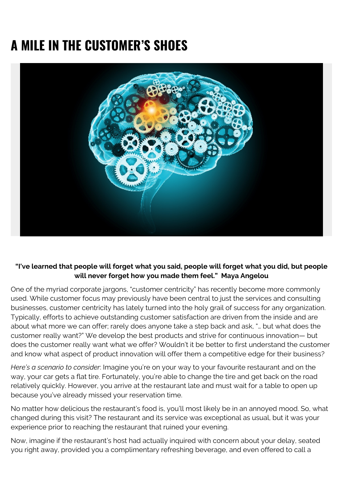## **A MILE IN THE CUSTOMER'S SHOES**



## **"I've learned that people will forget what you said, people will forget what you did, but people** will never forget how you made them feel." Maya Angelou

One of the myriad corporate jargons, "customer centricity" has recently become more commonly used. While customer focus may previously have been central to just the services and consulting businesses, customer centricity has lately turned into the holy grail of success for any organization. Typically, efforts to achieve outstanding customer satisfaction are driven from the inside and are about what more we can offer; rarely does anyone take a step back and ask, "… but what does the customer really want?" We develop the best products and strive for continuous innovation— but does the customer really want what we offer? Wouldn't it be better to first understand the customer and know what aspect of product innovation will offer them a competitive edge for their business?

*Here's a scenario to consider*: Imagine you're on your way to your favourite restaurant and on the way, your car gets a flat tire. Fortunately, you're able to change the tire and get back on the road relatively quickly. However, you arrive at the restaurant late and must wait for a table to open up because you've already missed your reservation time.

No matter how delicious the restaurant's food is, you'll most likely be in an annoyed mood. So, what changed during this visit? The restaurant and its service was exceptional as usual, but it was your experience prior to reaching the restaurant that ruined your evening.

Now, imagine if the restaurant's host had actually inquired with concern about your delay, seated you right away, provided you a complimentary refreshing beverage, and even offered to call a